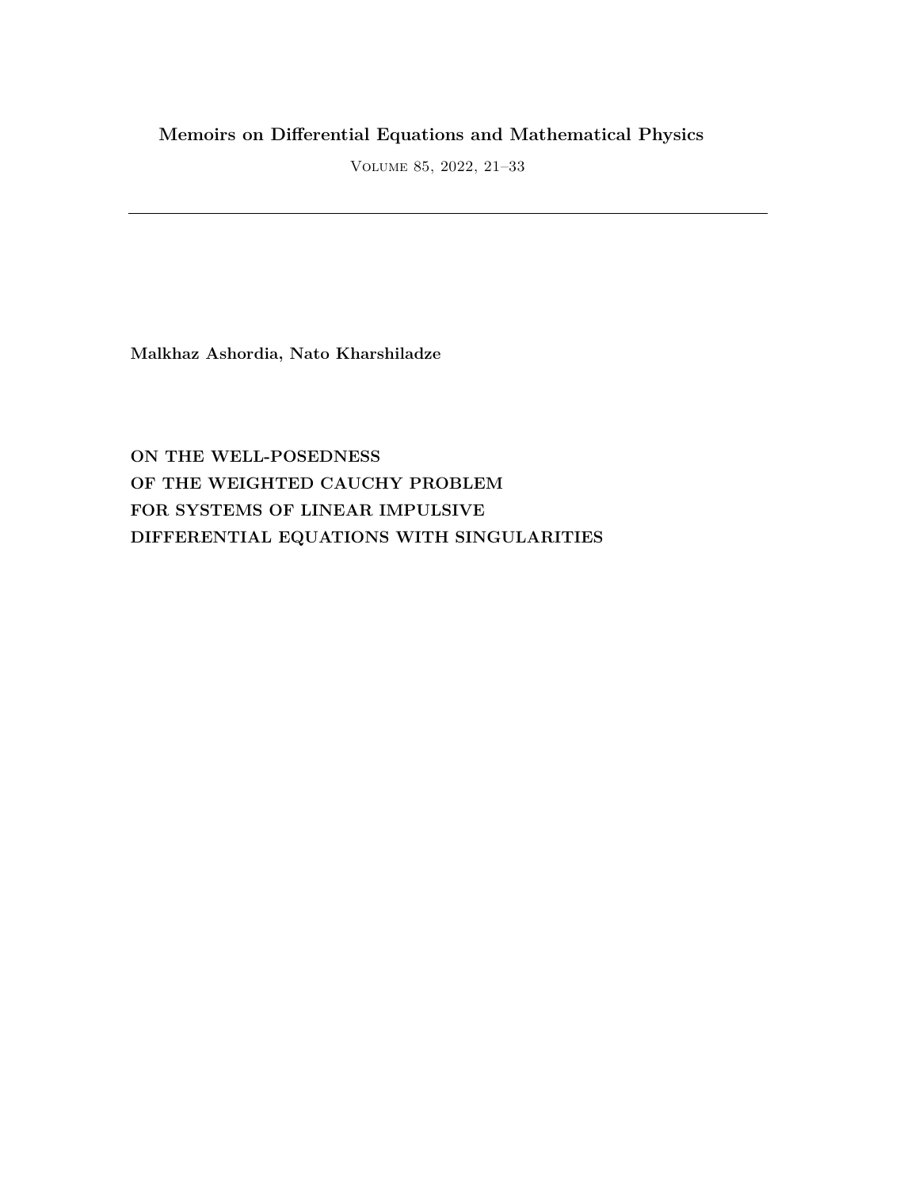# **Memoirs on Differential Equations and Mathematical Physics**

Volume 85, 2022, 21–33

**Malkhaz Ashordia, Nato Kharshiladze**

**ON THE WELL-POSEDNESS OF THE WEIGHTED CAUCHY PROBLEM FOR SYSTEMS OF LINEAR IMPULSIVE DIFFERENTIAL EQUATIONS WITH SINGULARITIES**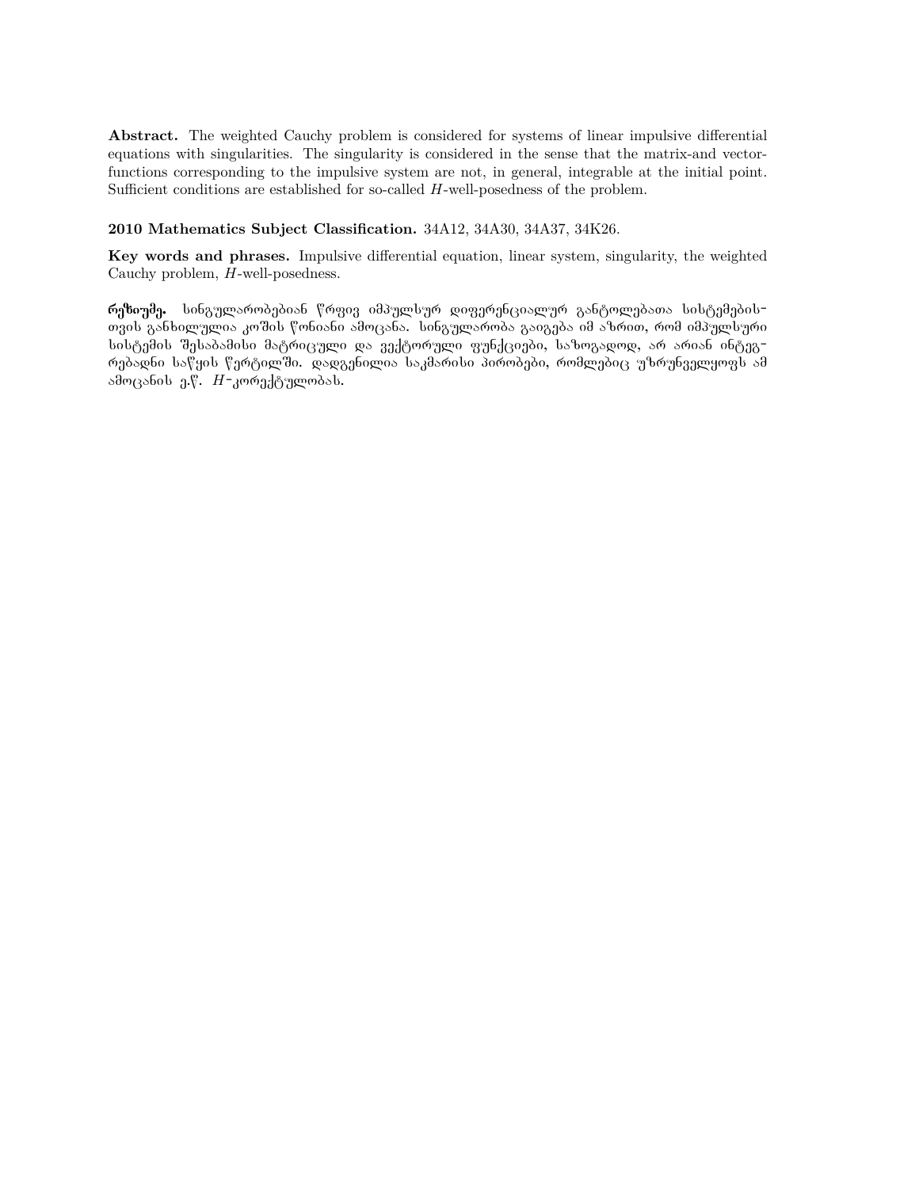**Abstract.** The weighted Cauchy problem is considered for systems of linear impulsive differential equations with singularities. The singularity is considered in the sense that the matrix-and vectorfunctions corresponding to the impulsive system are not, in general, integrable at the initial point. Sufficient conditions are established for so-called *H*-well-posedness of the problem.

## **2010 Mathematics Subject Classification.** 34A12, 34A30, 34A37, 34K26.

**Key words and phrases.** Impulsive differential equation, linear system, singularity, the weighted Cauchy problem, *H*-well-posedness.

რეზიუმე. სინგულარობებიან წრფივ იმპულსურ დიფერენციალურ განტოლებათა სისტემების<del>-</del> თვის განხილულია კოშის წონიანი ამოცანა. სინგულარობა გაიგება იმ აზრით, რომ იმპულსური სისტემის შესაბამისი მატრიცული და ვექტორული ფუნქციები, საზოგადოდ, არ არიან ინტეგრებადნი საწყის წერტილში. დადგენილია საკმარისი პირობები, რომლებიც უზრუნველყოფს ამ ამოცანის ე.წ. *H*-კორექტულობას.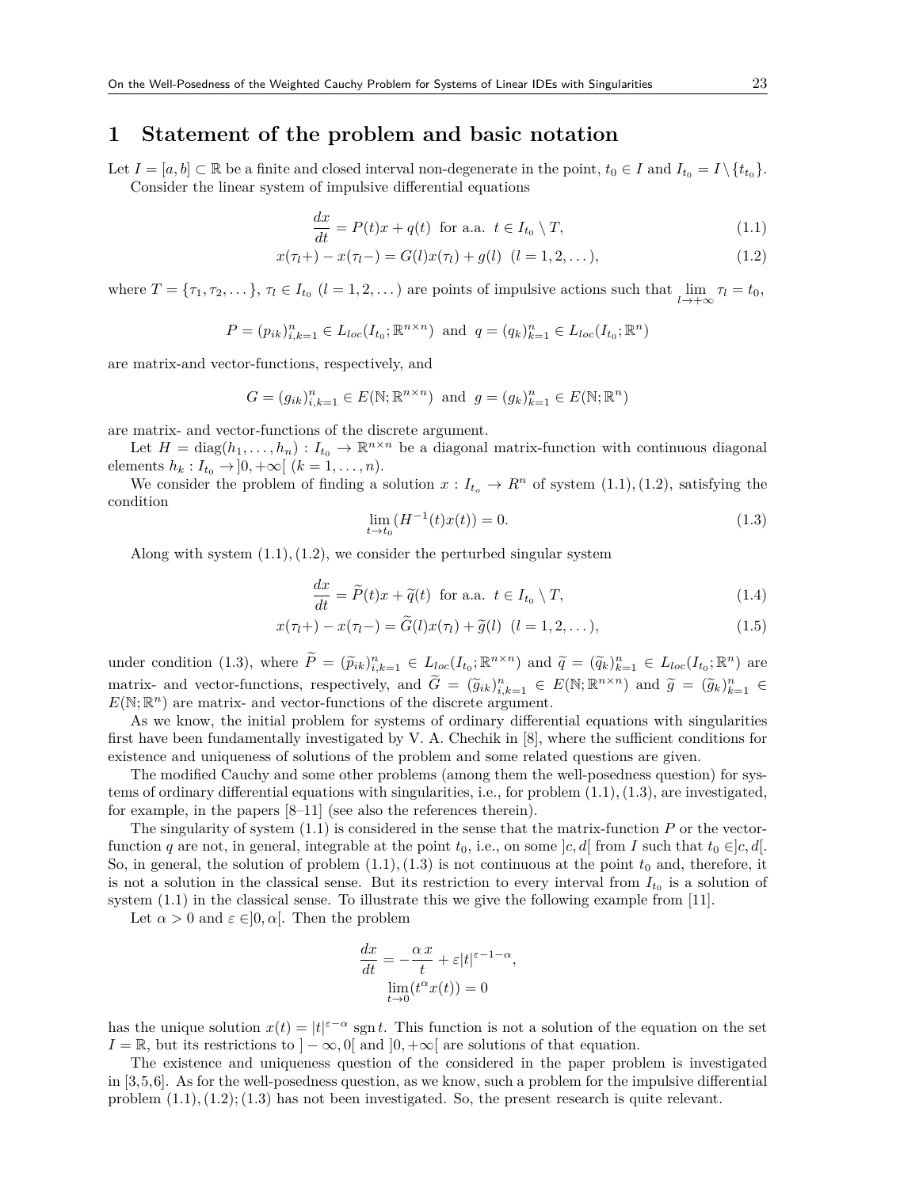## **1 Statement of the problem and basic notation**

Let  $I = [a, b] \subset \mathbb{R}$  be a finite and closed interval non-degenerate in the point,  $t_0 \in I$  and  $I_{t_0} = I \setminus \{t_{t_0}\}.$ Consider the linear system of impulsive differential equations

$$
\frac{dx}{dt} = P(t)x + q(t) \text{ for a.a. } t \in I_{t_0} \setminus T,
$$
\n(1.1)

$$
x(\tau_l +) - x(\tau_l -) = G(l)x(\tau_l) + g(l) \quad (l = 1, 2, ...),
$$
\n(1.2)

where  $T = \{\tau_1, \tau_2, \dots\}, \tau_l \in I_{t_0}$  ( $l = 1, 2, \dots$ ) are points of impulsive actions such that lim  $\lim_{l \to +\infty} \tau_l = t_0,$ 

$$
P = (p_{ik})_{i,k=1}^n \in L_{loc}(I_{t_0}; \mathbb{R}^{n \times n}) \text{ and } q = (q_k)_{k=1}^n \in L_{loc}(I_{t_0}; \mathbb{R}^n)
$$

are matrix-and vector-functions, respectively, and

$$
G = (g_{ik})_{i,k=1}^n \in E(\mathbb{N}; \mathbb{R}^{n \times n})
$$
 and  $g = (g_k)_{k=1}^n \in E(\mathbb{N}; \mathbb{R}^n)$ 

are matrix- and vector-functions of the discrete argument.

Let  $H = \text{diag}(h_1, \ldots, h_n) : I_{t_0} \to \mathbb{R}^{n \times n}$  be a diagonal matrix-function with continuous diagonal elements  $h_k: I_{t_0} \to ]0, +\infty[$  ( $k = 1, ..., n$ ).

We consider the problem of finding a solution  $x: I_{t_o} \to R^n$  of system  $(1.1), (1.2)$ , satisfying the condition

$$
\lim_{t \to t_0} (H^{-1}(t)x(t)) = 0.
$$
\n(1.3)

Along with system  $(1.1), (1.2)$ , we consider the perturbed singular system

$$
\frac{dx}{dt} = \widetilde{P}(t)x + \widetilde{q}(t) \text{ for a.a. } t \in I_{t_0} \setminus T,
$$
\n(1.4)

$$
x(\tau_l +) - x(\tau_l -) = \widetilde{G}(l)x(\tau_l) + \widetilde{g}(l) \quad (l = 1, 2, \dots), \tag{1.5}
$$

under condition (1.3), where  $\tilde{P} = (\tilde{p}_{ik})_{i,k=1}^n \in L_{loc}(I_{t_0};\mathbb{R}^{n\times n})$  and  $\tilde{q} = (\tilde{q}_k)_{k=1}^n \in L_{loc}(I_{t_0};\mathbb{R}^n)$  are matrix- and vector-functions, respectively, and  $\tilde{G} = (\tilde{g}_k)_{k=1}^n \in E(\mathbb{N}; \mathbb{R}^{n \times n})$  and  $\tilde{g} = (\tilde{g}_k)_{k=1}^n \in E(\mathbb{N}; \mathbb{R}^{n \times n})$  $E(\mathbb{N};\mathbb{R}^n)$  are matrix- and vector-functions of the discrete argument.

As we know, the initial problem for systems of ordinary differential equations with singularities first have been fundamentally investigated by V. A. Chechik in [8], where the sufficient conditions for existence and uniqueness of solutions of the problem and some related questions are given.

The modified Cauchy and some other problems (among them the well-posedness question) for systems of ordinary differential equations with singularities, i.e., for problem  $(1.1), (1.3),$  are investigated, for example, in the papers [8–11] (see also the references therein).

The singularity of system (1.1) is considered in the sense that the matrix-function *P* or the vectorfunction *q* are not, in general, integrable at the point  $t_0$ , i.e., on some  $|c, d|$  from *I* such that  $t_0 \in ]c, d]$ . So, in general, the solution of problem  $(1.1), (1.3)$  is not continuous at the point  $t_0$  and, therefore, it is not a solution in the classical sense. But its restriction to every interval from  $I_{t_0}$  is a solution of system (1.1) in the classical sense. To illustrate this we give the following example from [11].

Let  $\alpha > 0$  and  $\varepsilon \in ]0, \alpha[$ . Then the problem

$$
\frac{dx}{dt} = -\frac{\alpha x}{t} + \varepsilon |t|^{\varepsilon - 1 - \alpha},
$$

$$
\lim_{t \to 0} (t^{\alpha} x(t)) = 0
$$

has the unique solution  $x(t) = |t|^{z-\alpha}$  sgn *t*. This function is not a solution of the equation on the set  $I = \mathbb{R}$ , but its restrictions to  $\vert -\infty$ , 0[ and  $\vert 0, +\infty \vert$  are solutions of that equation.

The existence and uniqueness question of the considered in the paper problem is investigated in [3,5,6]. As for the well-posedness question, as we know, such a problem for the impulsive differential problem  $(1.1), (1.2), (1.3)$  has not been investigated. So, the present research is quite relevant.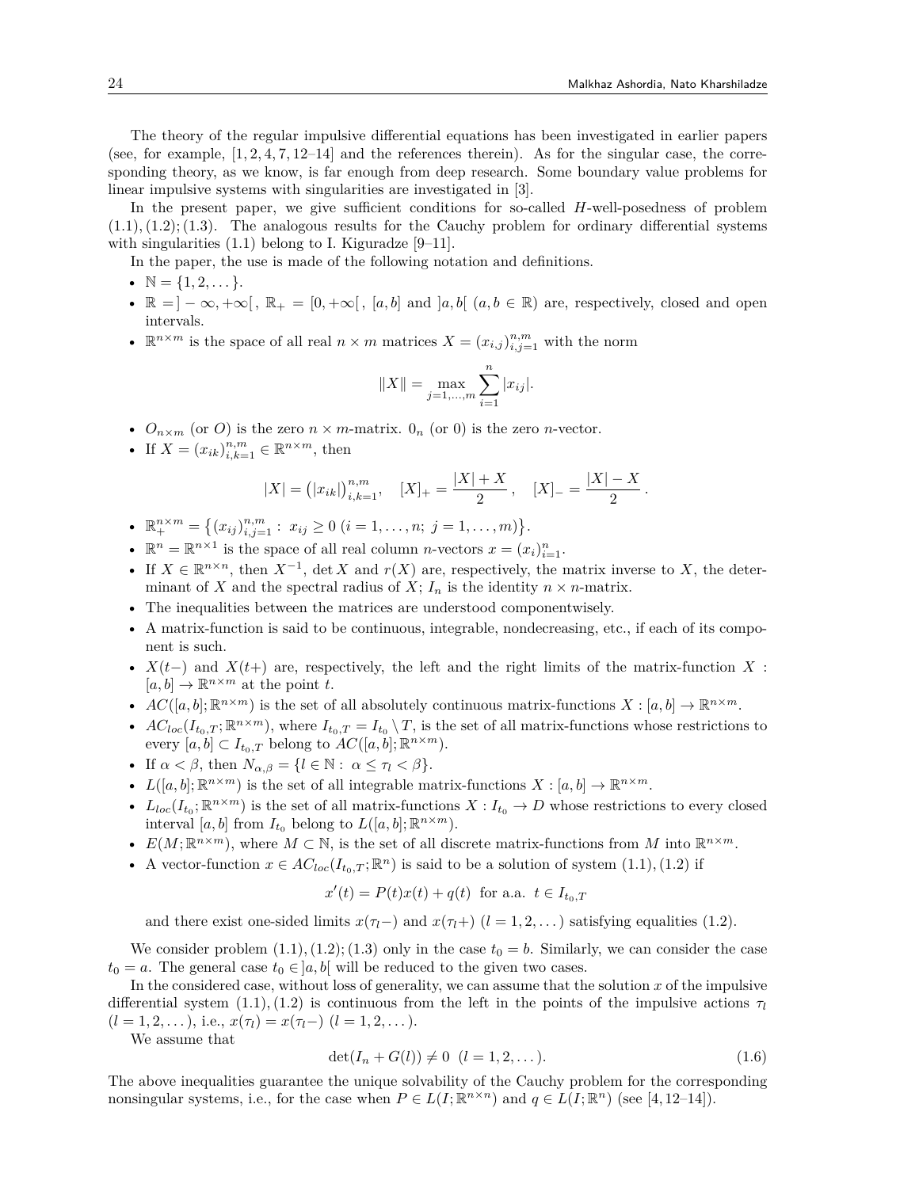The theory of the regular impulsive differential equations has been investigated in earlier papers (see, for example,  $[1, 2, 4, 7, 12-14]$  and the references therein). As for the singular case, the corresponding theory, as we know, is far enough from deep research. Some boundary value problems for linear impulsive systems with singularities are investigated in [3].

In the present paper, we give sufficient conditions for so-called *H*-well-posedness of problem  $(1.1), (1.2), (1.3).$  The analogous results for the Cauchy problem for ordinary differential systems with singularities  $(1.1)$  belong to I. Kiguradze [9–11].

In the paper, the use is made of the following notation and definitions.

- $N = \{1, 2, \ldots\}.$
- $\mathbb{R} = ]-\infty, +\infty[$ ,  $\mathbb{R}_+ = [0, +\infty[$ ,  $[a, b]$  and  $[a, b]$   $(a, b \in \mathbb{R})$  are, respectively, closed and open intervals.
- $\mathbb{R}^{n \times m}$  is the space of all real  $n \times m$  matrices  $X = (x_{i,j})_{i,j=1}^{n,m}$  with the norm

$$
||X|| = \max_{j=1,\dots,m} \sum_{i=1}^{n} |x_{ij}|.
$$

- $O_{n \times m}$  (or *O*) is the zero  $n \times m$ -matrix.  $O_n$  (or 0) is the zero *n*-vector.
- If  $X = (x_{ik})_{i,k=1}^{n,m} \in \mathbb{R}^{n \times m}$ , then

$$
|X| = (|x_{ik}|)_{i,k=1}^{n,m}, \quad [X]_+ = \frac{|X|+X}{2}, \quad [X]_- = \frac{|X|-X}{2}.
$$

- $\mathbb{R}^{n \times m}_{+} = \{(x_{ij})^{n,m}_{i,j=1} : x_{ij} \geq 0 \ (i = 1, \ldots, n; j = 1, \ldots, m)\}.$
- $\mathbb{R}^n = \mathbb{R}^{n \times 1}$  is the space of all real column *n*-vectors  $x = (x_i)_{i=1}^n$ .
- If  $X \in \mathbb{R}^{n \times n}$ , then  $X^{-1}$ , det *X* and  $r(X)$  are, respectively, the matrix inverse to *X*, the determinant of *X* and the spectral radius of *X*;  $I_n$  is the identity  $n \times n$ -matrix.
- The inequalities between the matrices are understood componentwisely.
- A matrix-function is said to be continuous, integrable, nondecreasing, etc., if each of its component is such.
- $X(t-)$  and  $X(t+)$  are, respectively, the left and the right limits of the matrix-function X:  $[a, b] \to \mathbb{R}^{n \times m}$  at the point *t*.
- $AC([a, b]; \mathbb{R}^{n \times m})$  is the set of all absolutely continuous matrix-functions  $X : [a, b] \to \mathbb{R}^{n \times m}$ .
- $AC_{loc}(I_{t_0,T}; \mathbb{R}^{n \times m})$ , where  $I_{t_0,T} = I_{t_0} \setminus T$ , is the set of all matrix-functions whose restrictions to every  $[a, b] \subset I_{t_0,T}$  belong to  $AC([a, b]; \mathbb{R}^{n \times m})$ .
- If  $\alpha < \beta$ , then  $N_{\alpha,\beta} = \{l \in \mathbb{N} : \alpha \leq \tau_l < \beta\}.$
- $L([a, b]; \mathbb{R}^{n \times m})$  is the set of all integrable matrix-functions  $X : [a, b] \to \mathbb{R}^{n \times m}$ .
- $L_{loc}(I_{t_0}; \mathbb{R}^{n \times m})$  is the set of all matrix-functions  $X: I_{t_0} \to D$  whose restrictions to every closed interval [a, b] from  $I_{t_0}$  belong to  $L([a, b]; \mathbb{R}^{n \times m})$ .
- $E(M; \mathbb{R}^{n \times m})$ , where  $M \subset \mathbb{N}$ , is the set of all discrete matrix-functions from M into  $\mathbb{R}^{n \times m}$ .
- A vector-function  $x \in AC_{loc}(I_{t_0,T}; \mathbb{R}^n)$  is said to be a solution of system  $(1.1), (1.2)$  if

$$
x'(t) = P(t)x(t) + q(t)
$$
 for a.a.  $t \in I_{t_0,T}$ 

and there exist one-sided limits  $x(\tau_l)$  and  $x(\tau_l)$  ( $l = 1, 2, \ldots$ ) satisfying equalities (1.2).

We consider problem  $(1.1), (1.2), (1.3)$  only in the case  $t_0 = b$ . Similarly, we can consider the case  $t_0 = a$ . The general case  $t_0 \in ]a, b[$  will be reduced to the given two cases.

In the considered case, without loss of generality, we can assume that the solution *x* of the impulsive differential system  $(1.1), (1.2)$  is continuous from the left in the points of the impulsive actions  $\tau_l$  $(l = 1, 2, \ldots),$  i.e.,  $x(\tau_l) = x(\tau_l) - (l = 1, 2, \ldots).$ 

We assume that

$$
\det(I_n + G(l)) \neq 0 \ \ (l = 1, 2, \dots). \tag{1.6}
$$

The above inequalities guarantee the unique solvability of the Cauchy problem for the corresponding nonsingular systems, i.e., for the case when  $P \in L(I; \mathbb{R}^{n \times n})$  and  $q \in L(I; \mathbb{R}^n)$  (see [4,12–14]).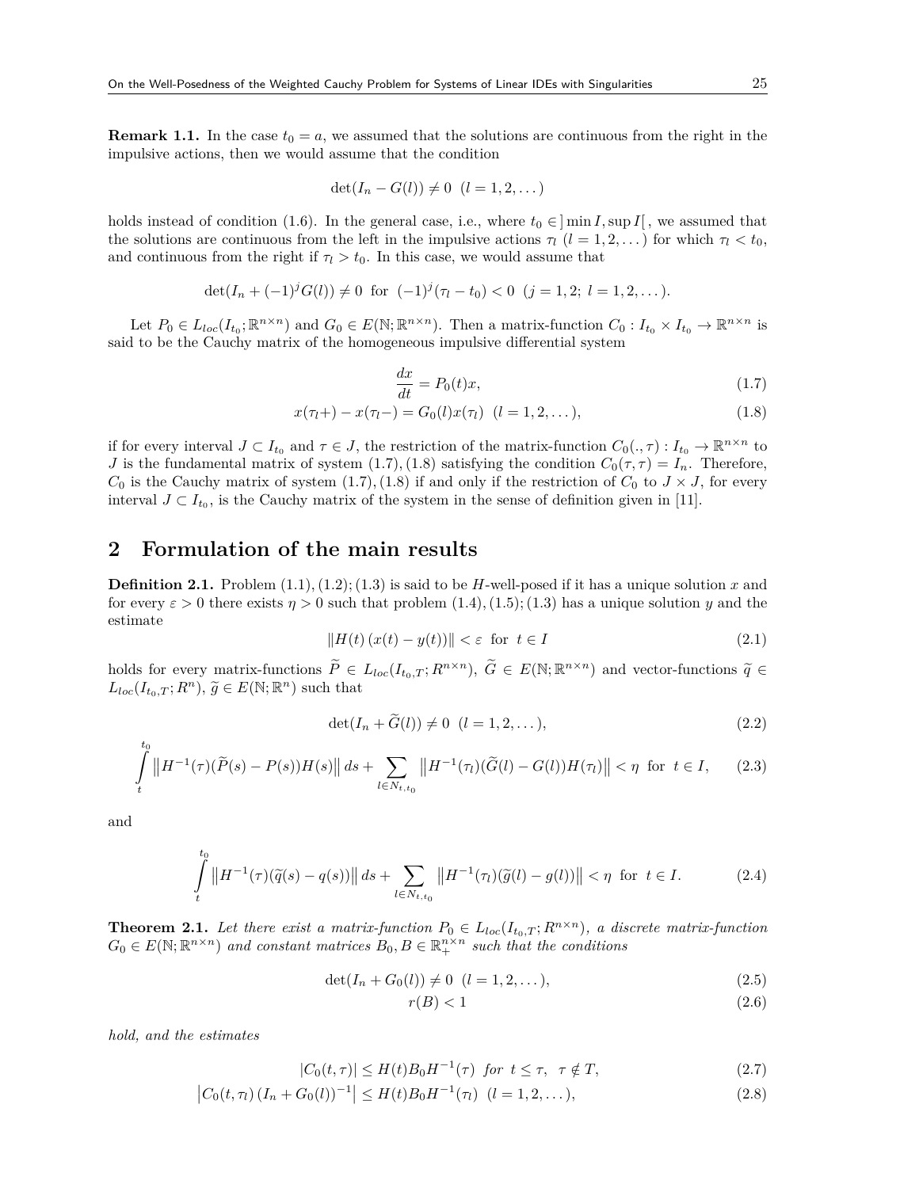**Remark 1.1.** In the case  $t_0 = a$ , we assumed that the solutions are continuous from the right in the impulsive actions, then we would assume that the condition

$$
\det(I_n - G(l)) \neq 0 \ \ (l = 1, 2, \dots)
$$

holds instead of condition (1.6). In the general case, i.e., where  $t_0 \in ]\min I, \sup I[$ , we assumed that the solutions are continuous from the left in the impulsive actions  $\tau_l$  (*l* = 1, 2, ...) for which  $\tau_l < t_0$ , and continuous from the right if  $\tau_l > t_0$ . In this case, we would assume that

$$
\det(I_n+(-1)^jG(l))\neq 0 \ \text{ for } (-1)^j(\tau_l-t_0)<0 \ \ (j=1,2; \ l=1,2,\dots).
$$

Let  $P_0 \in L_{loc}(I_{t_0};\mathbb{R}^{n\times n})$  and  $G_0 \in E(\mathbb{N};\mathbb{R}^{n\times n})$ . Then a matrix-function  $C_0: I_{t_0}\times I_{t_0} \to \mathbb{R}^{n\times n}$  is said to be the Cauchy matrix of the homogeneous impulsive differential system

$$
\frac{dx}{dt} = P_0(t)x,\tag{1.7}
$$

$$
x(\tau_l+) - x(\tau_l-) = G_0(l)x(\tau_l) \quad (l = 1, 2, \dots), \tag{1.8}
$$

if for every interval  $J \subset I_{t_0}$  and  $\tau \in J$ , the restriction of the matrix-function  $C_0(.,\tau): I_{t_0} \to \mathbb{R}^{n \times n}$  to *J* is the fundamental matrix of system (1.7), (1.8) satisfying the condition  $C_0(\tau, \tau) = I_n$ . Therefore, *C*<sub>0</sub> is the Cauchy matrix of system (1.7), (1.8) if and only if the restriction of  $C_0$  to  $J \times J$ , for every interval  $J \subset I_{t_0}$ , is the Cauchy matrix of the system in the sense of definition given in [11].

# **2 Formulation of the main results**

**Definition 2.1.** Problem  $(1.1), (1.2), (1.3)$  is said to be *H*-well-posed if it has a unique solution *x* and for every  $\varepsilon > 0$  there exists  $\eta > 0$  such that problem  $(1.4), (1.5); (1.3)$  has a unique solution *y* and the estimate

$$
||H(t) (x(t) - y(t))|| < \varepsilon \text{ for } t \in I
$$
\n
$$
(2.1)
$$

holds for every matrix-functions  $\widetilde{P} \in L_{loc}(I_{t_0,T}; R^{n \times n})$ ,  $\widetilde{G} \in E(\mathbb{N}; \mathbb{R}^{n \times n})$  and vector-functions  $\widetilde{q} \in L_{loc}(I_{t_0,T}; R^{n \times n})$  $L_{loc}(I_{t_0,T}; R^n)$ ,  $\widetilde{g} \in E(\mathbb{N}; \mathbb{R}^n)$  such that

$$
\det(I_n + \widetilde{G}(l)) \neq 0 \ \ (l = 1, 2, \dots), \tag{2.2}
$$

$$
\int\limits_t^t \|H^{-1}(\tau)(\widetilde{P}(s) - P(s))H(s)\| \, ds + \sum_{l \in N_{t,t_0}} \|H^{-1}(\tau_l)(\widetilde{G}(l) - G(l))H(\tau_l)\| < \eta \quad \text{for } t \in I,\tag{2.3}
$$

and

∫*t*0

$$
\int_{t}^{t_0} \left\| H^{-1}(\tau)(\tilde{q}(s) - q(s)) \right\| ds + \sum_{l \in N_{t,t_0}} \left\| H^{-1}(\tau_l)(\tilde{g}(l) - g(l)) \right\| < \eta \text{ for } t \in I.
$$
 (2.4)

**Theorem 2.1.** Let there exist a matrix-function  $P_0 \in L_{loc}(I_{t_0,T}; R^{n \times n})$ , a discrete matrix-function  $G_0 \in E(\mathbb{N}; \mathbb{R}^{n \times n})$  *and constant matrices*  $B_0, B \in \mathbb{R}_+^{n \times n}$  *such that the conditions* 

$$
\det(I_n + G_0(l)) \neq 0 \ \ (l = 1, 2, \dots), \tag{2.5}
$$

$$
r(B) < 1\tag{2.6}
$$

*hold, and the estimates*

$$
|C_0(t,\tau)| \le H(t)B_0H^{-1}(\tau) \quad \text{for } t \le \tau, \quad \tau \notin T,\tag{2.7}
$$

$$
\left| C_0(t, \tau_l) \left( I_n + G_0(l) \right)^{-1} \right| \le H(t) B_0 H^{-1}(\tau_l) \quad (l = 1, 2, \dots), \tag{2.8}
$$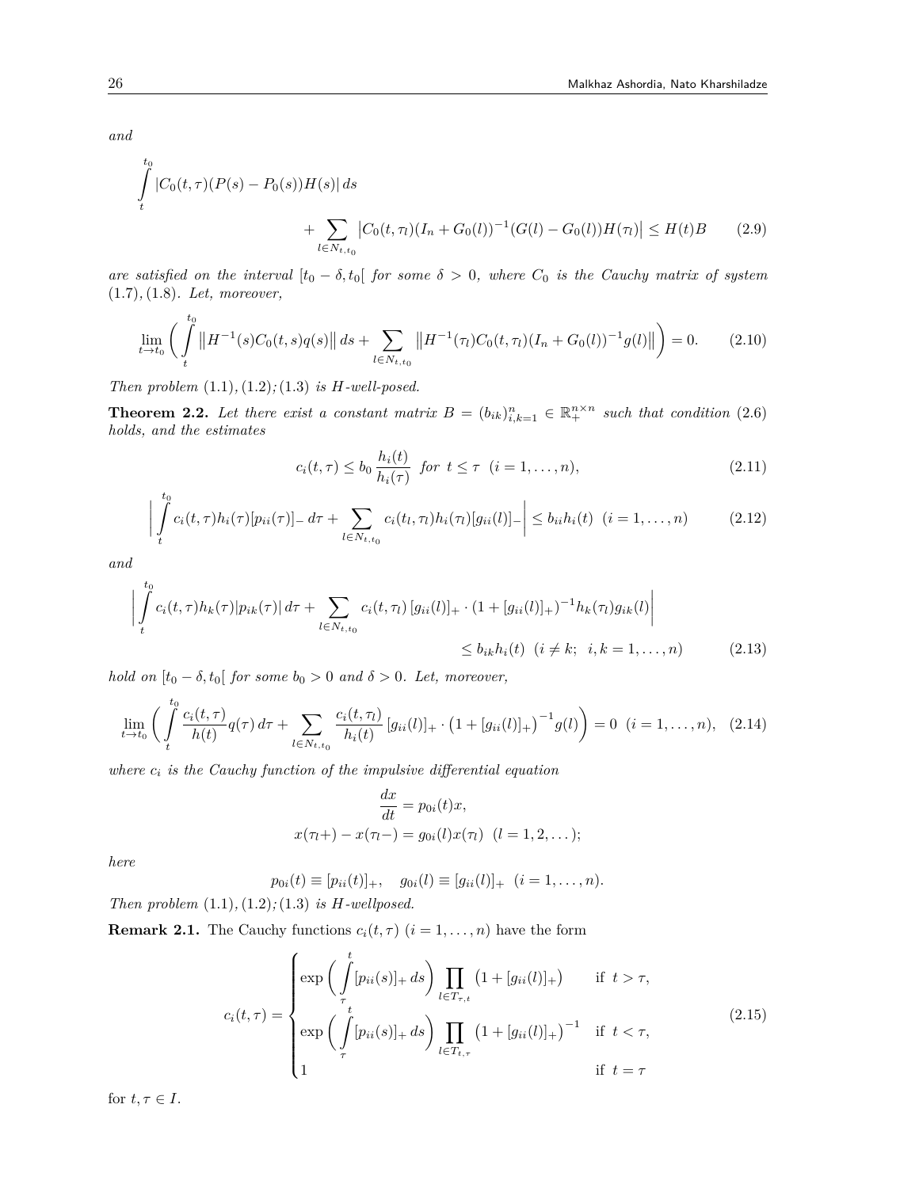*and*

$$
\int_{t}^{t_0} |C_0(t,\tau)(P(s) - P_0(s))H(s)| ds
$$
\n
$$
+ \sum_{l \in N_{t,t_0}} |C_0(t,\tau_l)(I_n + G_0(l))^{-1}(G(l) - G_0(l))H(\tau_l)| \le H(t)B
$$
\n(2.9)

*are satisfied on the interval*  $[t_0 - \delta, t_0]$  *for some*  $\delta > 0$ *, where*  $C_0$  *is the Cauchy matrix of system* (1.7)*,*(1.8)*. Let, moreover,*

$$
\lim_{t \to t_0} \left( \int_t^{t_0} \left\| H^{-1}(s) C_0(t, s) q(s) \right\| ds + \sum_{l \in N_{t, t_0}} \left\| H^{-1}(\tau_l) C_0(t, \tau_l) (I_n + G_0(l))^{-1} g(l) \right\| \right) = 0. \tag{2.10}
$$

*Then problem* (1.1)*,*(1.2)*;*(1.3) *is H-well-posed.*

**Theorem 2.2.** Let there exist a constant matrix  $B = (b_{ik})_{i,k=1}^n \in \mathbb{R}_+^{n \times n}$  such that condition (2.6) *holds, and the estimates*

$$
c_i(t,\tau) \le b_0 \frac{h_i(t)}{h_i(\tau)} \text{ for } t \le \tau \ (i=1,\ldots,n),\tag{2.11}
$$

$$
\left| \int_{t}^{t_0} c_i(t, \tau) h_i(\tau) [p_{ii}(\tau)]_- d\tau + \sum_{l \in N_{t, t_0}} c_i(t_l, \tau_l) h_i(\tau_l) [g_{ii}(l)]_- \right| \le b_{ii} h_i(t) \quad (i = 1, ..., n) \tag{2.12}
$$

*and*

$$
\left| \int_{t}^{t_{0}} c_{i}(t,\tau) h_{k}(\tau) |p_{ik}(\tau)| d\tau + \sum_{l \in N_{t,t_{0}}} c_{i}(t,\tau_{l}) [g_{ii}(l)]_{+} \cdot (1 + [g_{ii}(l)]_{+})^{-1} h_{k}(\tau_{l}) g_{ik}(l) \right|
$$
  
 
$$
\leq b_{ik} h_{i}(t) \quad (i \neq k; \quad i, k = 1,...,n) \tag{2.13}
$$

*hold on*  $[t_0 - \delta, t_0]$  *for some*  $b_0 > 0$  *and*  $\delta > 0$ *. Let, moreover,* 

$$
\lim_{t \to t_0} \left( \int_t^{t_0} \frac{c_i(t, \tau)}{h(t)} q(\tau) d\tau + \sum_{l \in N_{t, t_0}} \frac{c_i(t, \tau_l)}{h_i(t)} \left[ g_{ii}(l) \right]_+ \cdot \left( 1 + \left[ g_{ii}(l) \right]_+ \right)^{-1} g(l) \right) = 0 \quad (i = 1, \dots, n), \tag{2.14}
$$

*where*  $c_i$  *is the Cauchy function of the impulsive differential equation* 

$$
\frac{dx}{dt} = p_{0i}(t)x,
$$
  
  $x(\tau_l + ) - x(\tau_l - ) = g_{0i}(l)x(\tau_l) \quad (l = 1, 2, ...);$ 

*here*

$$
p_{0i}(t) \equiv [p_{ii}(t)]_+, \quad g_{0i}(l) \equiv [g_{ii}(l)]_+ \quad (i = 1, \ldots, n).
$$

*Then problem* (1.1)*,*(1.2)*;*(1.3) *is H-wellposed.*

**Remark 2.1.** The Cauchy functions  $c_i(t, \tau)$   $(i = 1, \ldots, n)$  have the form

$$
c_i(t,\tau) = \begin{cases} \exp\left(\int_{\tau}^{t} [p_{ii}(s)]_+ ds\right) \prod_{l \in T_{\tau,t}} \left(1 + [g_{ii}(l)]_+\right) & \text{if } t > \tau, \\ \exp\left(\int_{\tau}^{t} [p_{ii}(s)]_+ ds\right) \prod_{l \in T_{t,\tau}} \left(1 + [g_{ii}(l)]_+\right)^{-1} & \text{if } t < \tau, \\ 1 & \text{if } t = \tau \end{cases}
$$
(2.15)

for  $t, \tau \in I$ .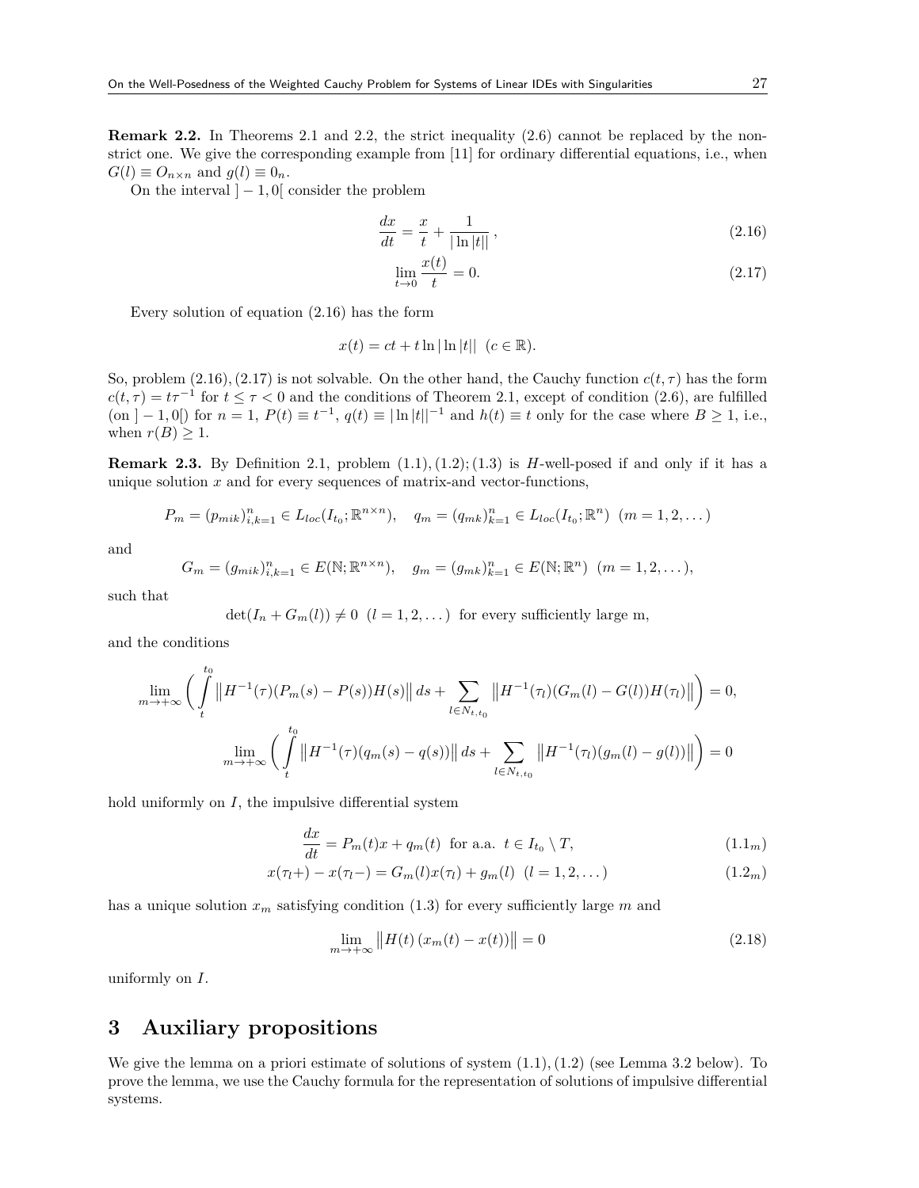**Remark 2.2.** In Theorems 2.1 and 2.2, the strict inequality (2.6) cannot be replaced by the nonstrict one. We give the corresponding example from [11] for ordinary differential equations, i.e., when  $G(l) \equiv O_{n \times n}$  and  $g(l) \equiv 0_n$ .

On the interval  $|-1, 0|$  consider the problem

$$
\frac{dx}{dt} = \frac{x}{t} + \frac{1}{|\ln|t||},
$$
\n(2.16)

$$
\lim_{t \to 0} \frac{x(t)}{t} = 0.
$$
\n(2.17)

Every solution of equation (2.16) has the form

$$
x(t) = ct + t \ln |\ln |t|| \quad (c \in \mathbb{R}).
$$

So, problem  $(2.16)$ ,  $(2.17)$  is not solvable. On the other hand, the Cauchy function  $c(t, \tau)$  has the form  $c(t, \tau) = t\tau^{-1}$  for  $t \leq \tau < 0$  and the conditions of Theorem 2.1, except of condition (2.6), are fulfilled (on  $]-1,0[$ ) for  $n=1, P(t) \equiv t^{-1}, q(t) \equiv |\ln |t||^{-1}$  and  $h(t) \equiv t$  only for the case where  $B \ge 1$ , i.e., when  $r(B) \geq 1$ .

**Remark 2.3.** By Definition 2.1, problem  $(1.1), (1.2), (1.3)$  is *H*-well-posed if and only if it has a unique solution *x* and for every sequences of matrix-and vector-functions,

$$
P_m = (p_{mik})_{i,k=1}^n \in L_{loc}(I_{t_0}; \mathbb{R}^{n \times n}), \quad q_m = (q_{mk})_{k=1}^n \in L_{loc}(I_{t_0}; \mathbb{R}^n) \ (m = 1, 2, \dots)
$$

and

$$
G_m = (g_{mik})_{i,k=1}^n \in E(\mathbb{N}; \mathbb{R}^{n \times n}), \quad g_m = (g_{mk})_{k=1}^n \in E(\mathbb{N}; \mathbb{R}^n) \ (m = 1, 2, \dots),
$$

such that

$$
\det(I_n + G_m(l)) \neq 0 \ \ (l = 1, 2, \dots)
$$
 for every sufficiently large m,

and the conditions

$$
\lim_{m \to +\infty} \left( \int_{t}^{t_0} \left\| H^{-1}(\tau)(P_m(s) - P(s))H(s) \right\| ds + \sum_{l \in N_{t,t_0}} \left\| H^{-1}(\tau)(G_m(l) - G(l))H(\tau_l) \right\| \right) = 0,
$$
  

$$
\lim_{m \to +\infty} \left( \int_{t}^{t_0} \left\| H^{-1}(\tau)(q_m(s) - q(s)) \right\| ds + \sum_{l \in N_{t,t_0}} \left\| H^{-1}(\tau)(g_m(l) - g(l)) \right\| \right) = 0
$$

hold uniformly on *I*, the impulsive differential system

$$
\frac{dx}{dt} = P_m(t)x + q_m(t) \text{ for a.a. } t \in I_{t_0} \setminus T,
$$
\n(1.1<sub>m</sub>)

$$
x(\tau_l +) - x(\tau_l -) = G_m(l)x(\tau_l) + g_m(l) \ (l = 1, 2, ...)
$$
\n(1.2<sub>m</sub>)

has a unique solution  $x_m$  satisfying condition (1.3) for every sufficiently large  $m$  and

$$
\lim_{m \to +\infty} \left| H(t) \left( x_m(t) - x(t) \right) \right| = 0 \tag{2.18}
$$

uniformly on *I*.

# **3 Auxiliary propositions**

We give the lemma on a priori estimate of solutions of system  $(1.1), (1.2)$  (see Lemma 3.2 below). To prove the lemma, we use the Cauchy formula for the representation of solutions of impulsive differential systems.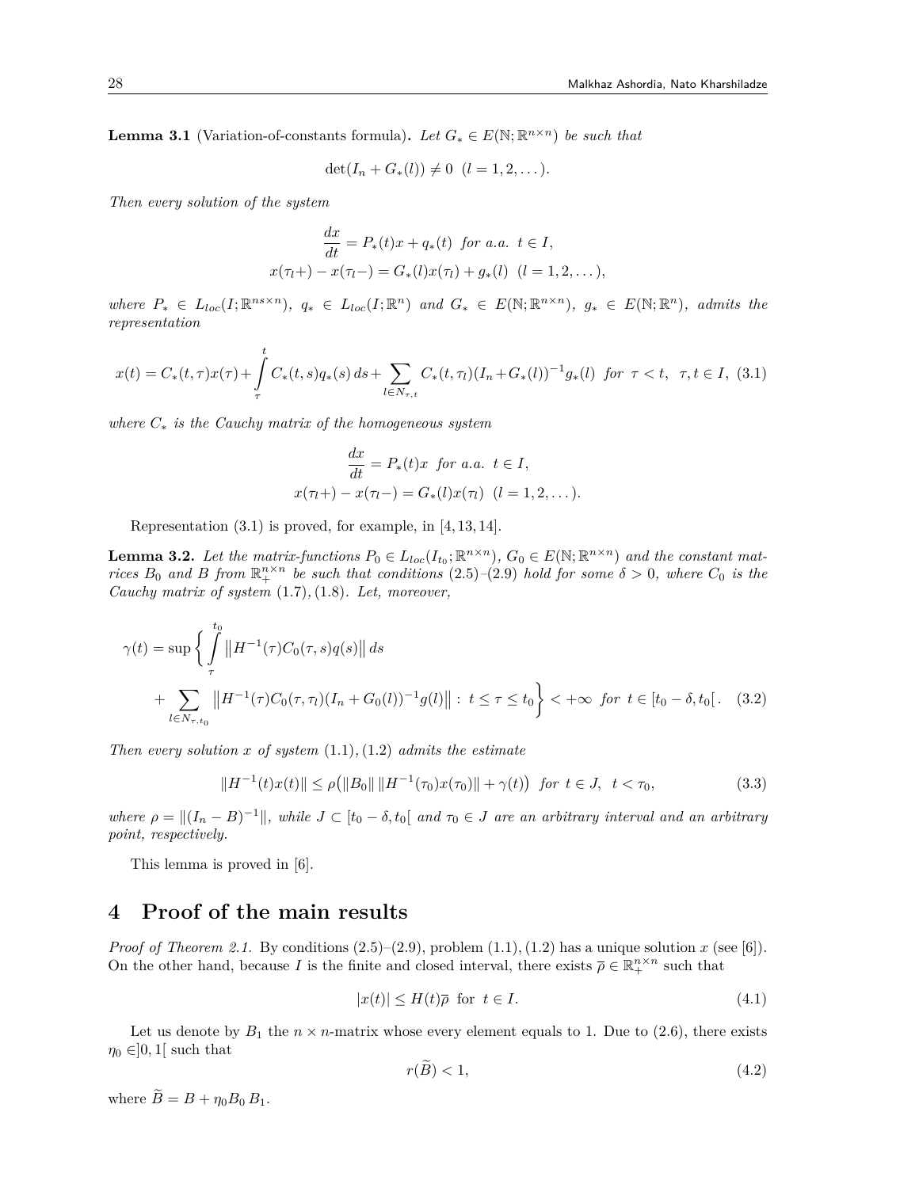**Lemma 3.1** (Variation-of-constants formula). Let  $G_* \in E(\mathbb{N}; \mathbb{R}^{n \times n})$  be such that

$$
\det(I_n + G_*(l)) \neq 0 \ \ (l = 1, 2, \dots).
$$

*Then every solution of the system*

$$
\frac{dx}{dt} = P_*(t)x + q_*(t) \text{ for a.a. } t \in I,
$$
  

$$
x(\tau_l +) - x(\tau_l -) = G_*(l)x(\tau_l) + g_*(l) \quad (l = 1, 2, ...),
$$

where  $P_* \in L_{loc}(I;\mathbb{R}^{ns \times n})$ ,  $q_* \in L_{loc}(I;\mathbb{R}^n)$  and  $G_* \in E(\mathbb{N};\mathbb{R}^{n \times n})$ ,  $g_* \in E(\mathbb{N};\mathbb{R}^n)$ , admits the *representation*

$$
x(t) = C_*(t, \tau)x(\tau) + \int_{\tau}^{t} C_*(t, s)q_*(s) ds + \sum_{l \in N_{\tau, t}} C_*(t, \tau_l)(I_n + G_*(l))^{-1} g_*(l) \text{ for } \tau < t, \ \tau, t \in I, \ (3.1)
$$

*where C<sup>∗</sup> is the Cauchy matrix of the homogeneous system*

$$
\frac{dx}{dt} = P_*(t)x \text{ for a.a. } t \in I,
$$
  

$$
x(\tau_l +) - x(\tau_l -) = G_*(l)x(\tau_l) \quad (l = 1, 2, ...).
$$

Representation (3.1) is proved, for example, in [4,13,14].

**Lemma 3.2.** Let the matrix-functions  $P_0 \in L_{loc}(I_{t_0}; \mathbb{R}^{n \times n})$ ,  $G_0 \in E(\mathbb{N}; \mathbb{R}^{n \times n})$  and the constant mat*rices*  $B_0$  *and*  $B$  *from*  $\mathbb{R}^{n \times n}$  *be such that conditions*  $(2.5)-(2.9)$  *hold for some*  $\delta > 0$ *, where*  $C_0$  *is the Cauchy matrix of system* (1.7)*,*(1.8)*. Let, moreover,*

$$
\gamma(t) = \sup \left\{ \int_{\tau}^{t_0} \left\| H^{-1}(\tau) C_0(\tau, s) q(s) \right\| ds \right\}
$$
  
+ 
$$
\sum_{l \in N_{\tau, t_0}} \left\| H^{-1}(\tau) C_0(\tau, \tau_l) (I_n + G_0(l))^{-1} g(l) \right\| : t \le \tau \le t_0 \right\} < +\infty \text{ for } t \in [t_0 - \delta, t_0[. (3.2)
$$

*Then every solution x of system* (1.1)*,*(1.2) *admits the estimate*

$$
||H^{-1}(t)x(t)|| \le \rho(||B_0|| ||H^{-1}(\tau_0)x(\tau_0)|| + \gamma(t)) \text{ for } t \in J, \ t < \tau_0,
$$
\n(3.3)

where  $\rho = ||(I_n - B)^{-1}||$ , while  $J \subset [t_0 - \delta, t_0]$  and  $\tau_0 \in J$  are an arbitrary interval and an arbitrary *point, respectively.*

This lemma is proved in [6].

# **4 Proof of the main results**

*Proof of Theorem 2.1.* By conditions  $(2.5)$ – $(2.9)$ , problem  $(1.1)$ ,  $(1.2)$  has a unique solution *x* (see [6]). On the other hand, because *I* is the finite and closed interval, there exists  $\bar{\rho} \in \mathbb{R}^{n \times n}_+$  such that

$$
|x(t)| \le H(t)\overline{\rho} \text{ for } t \in I. \tag{4.1}
$$

Let us denote by  $B_1$  the  $n \times n$ -matrix whose every element equals to 1. Due to (2.6), there exists  $\eta_0 \in ]0,1]$  such that

$$
r(B) < 1,\tag{4.2}
$$

where  $\widetilde{B} = B + \eta_0 B_0 B_1$ .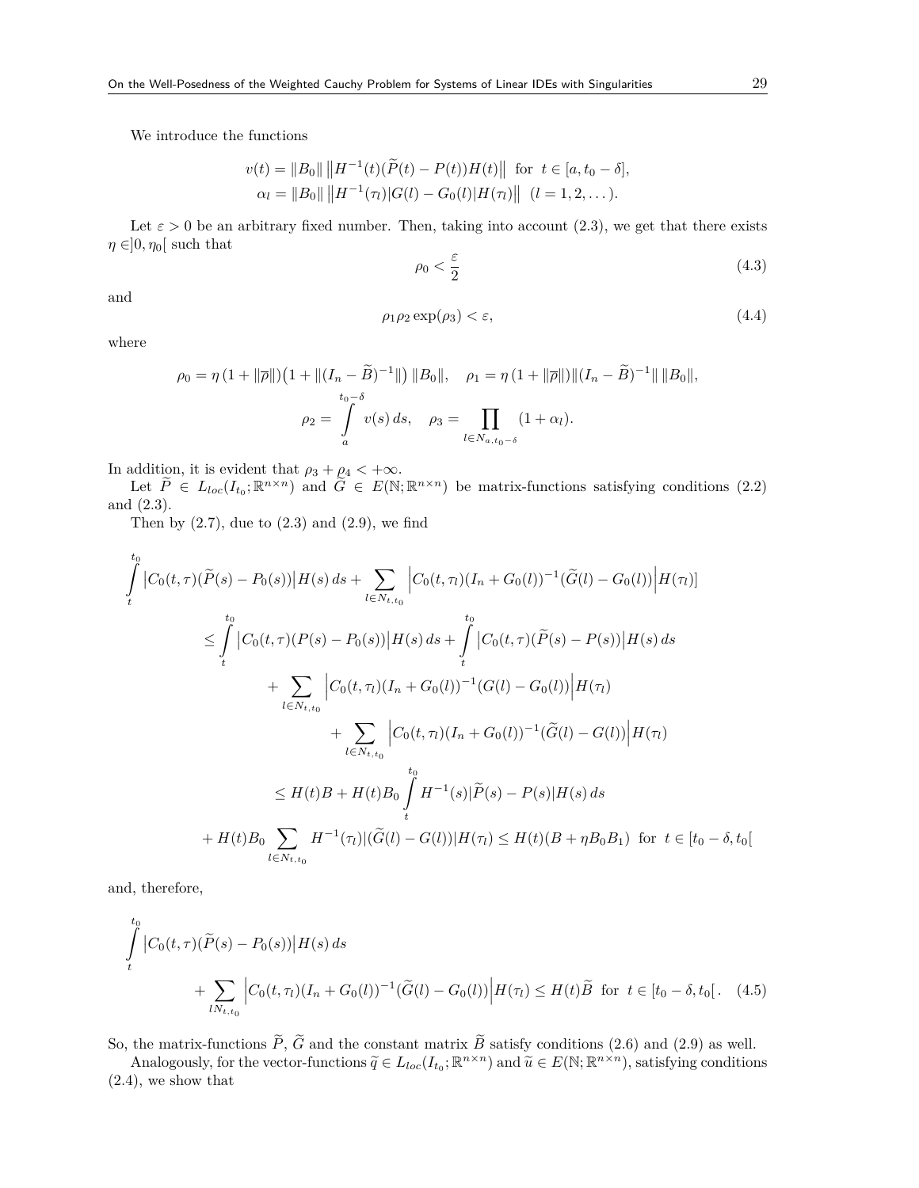We introduce the functions

$$
v(t) = ||B_0|| ||H^{-1}(t)(\widetilde{P}(t) - P(t))H(t)|| \text{ for } t \in [a, t_0 - \delta],
$$
  
\n
$$
\alpha_l = ||B_0|| ||H^{-1}(\tau_l)|G(l) - G_0(l)|H(\tau_l)|| \quad (l = 1, 2, ...).
$$

Let  $\varepsilon > 0$  be an arbitrary fixed number. Then, taking into account (2.3), we get that there exists  $\eta \in ]0, \eta_0[$  such that

$$
\rho_0 < \frac{\varepsilon}{2} \tag{4.3}
$$

and

$$
\rho_1 \rho_2 \exp(\rho_3) < \varepsilon,\tag{4.4}
$$

where

$$
\rho_0 = \eta \left( 1 + ||\overline{\rho}|| \right) \left( 1 + ||(I_n - \widetilde{B})^{-1}|| \right) ||B_0||, \quad \rho_1 = \eta \left( 1 + ||\overline{\rho}|| \right) ||(I_n - \widetilde{B})^{-1}|| ||B_0||,
$$
  

$$
\rho_2 = \int_a^b v(s) ds, \quad \rho_3 = \prod_{l \in N_{a,t_0 - \delta}} (1 + \alpha_l).
$$

In addition, it is evident that  $\rho_3 + \rho_4 < +\infty$ .

Let  $P \in L_{loc}(I_{t_0}; \mathbb{R}^{n \times n})$  and  $\tilde{G} \in E(\mathbb{N}; \mathbb{R}^{n \times n})$  be matrix-functions satisfying conditions (2.2) and (2.3).

Then by  $(2.7)$ , due to  $(2.3)$  and  $(2.9)$ , we find

$$
\int_{t}^{t_{0}} |C_{0}(t,\tau)(\widetilde{P}(s) - P_{0}(s))|H(s) ds + \sum_{l \in N_{t,t_{0}}} |C_{0}(t,\tau_{l})(I_{n} + G_{0}(l))^{-1}(\widetilde{G}(l) - G_{0}(l))|H(\tau_{l})]
$$
\n
$$
\leq \int_{t}^{t_{0}} |C_{0}(t,\tau)(P(s) - P_{0}(s))|H(s) ds + \int_{t}^{t_{0}} |C_{0}(t,\tau)(\widetilde{P}(s) - P(s))|H(s) ds
$$
\n
$$
+ \sum_{l \in N_{t,t_{0}}} |C_{0}(t,\tau_{l})(I_{n} + G_{0}(l))^{-1}(G(l) - G_{0}(l))|H(\tau_{l})
$$
\n
$$
+ \sum_{l \in N_{t,t_{0}}} |C_{0}(t,\tau_{l})(I_{n} + G_{0}(l))^{-1}(\widetilde{G}(l) - G(l))|H(\tau_{l})
$$
\n
$$
\leq H(t)B + H(t)B_{0} \int_{t}^{t_{0}} H^{-1}(s)|\widetilde{P}(s) - P(s)|H(s) ds
$$
\n
$$
+ H(t)B_{0} \sum_{l \in N_{t,t_{0}}} H^{-1}(\tau_{l})|(\widetilde{G}(l) - G(l))|H(\tau_{l}) \leq H(t)(B + \eta B_{0}B_{1}) \text{ for } t \in [t_{0} - \delta, t_{0}[t_{0} - \delta_{1}B_{1}])
$$

and, therefore,

$$
\int_{t}^{t_{0}} |C_{0}(t,\tau)(\widetilde{P}(s) - P_{0}(s))| H(s) ds
$$
\n
$$
+ \sum_{lN_{t,t_{0}}} |C_{0}(t,\tau_{l})(I_{n} + G_{0}(l))^{-1}(\widetilde{G}(l) - G_{0}(l))| H(\tau_{l}) \leq H(t)\widetilde{B} \text{ for } t \in [t_{0} - \delta, t_{0}]. \quad (4.5)
$$

So, the matrix-functions  $P$ ,  $G$  and the constant matrix  $B$  satisfy conditions (2.6) and (2.9) as well.

Analogously, for the vector-functions  $\widetilde{q} \in L_{loc}(I_{t_0}; \mathbb{R}^{n \times n})$  and  $\widetilde{u} \in E(\mathbb{N}; \mathbb{R}^{n \times n})$ , satisfying conditions (2.4), we show that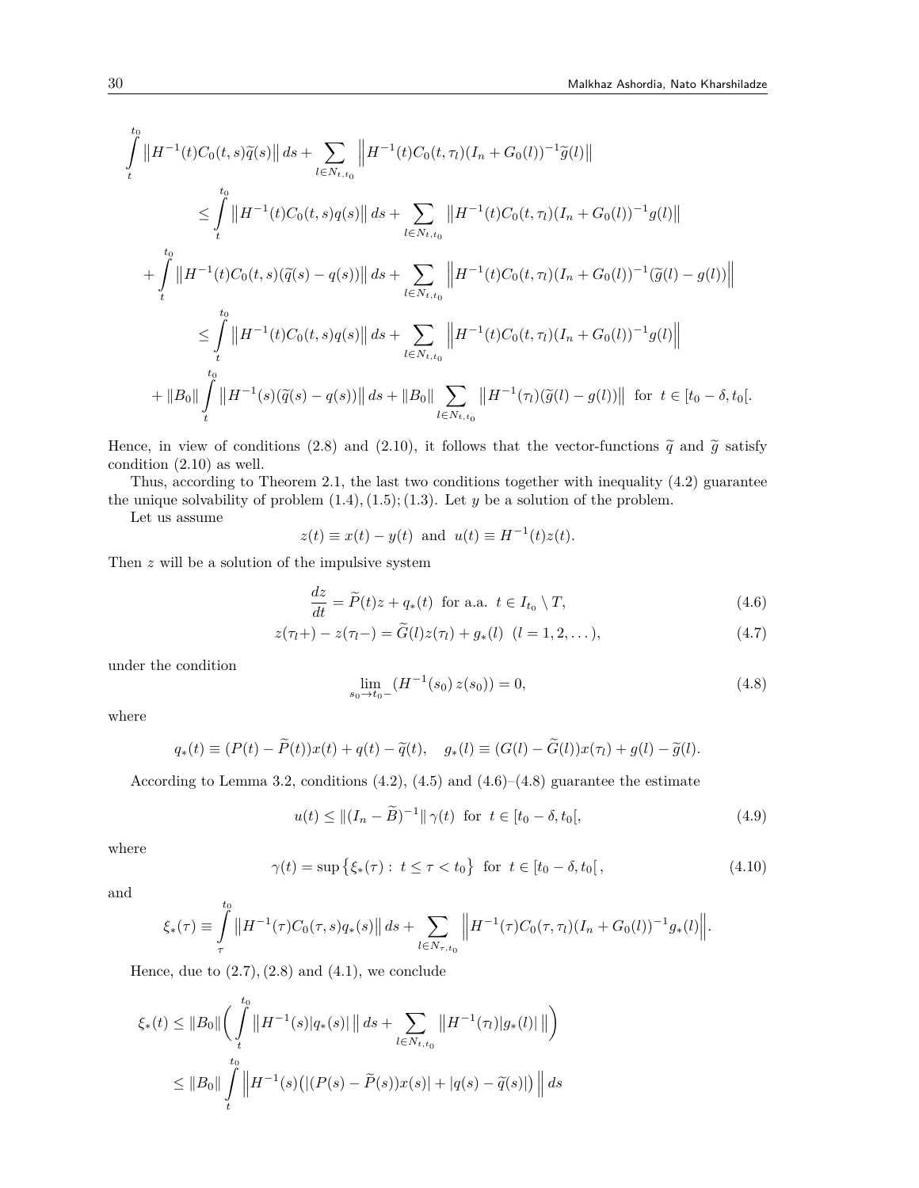$$
\int_{t}^{t_{0}} \left\| H^{-1}(t)C_{0}(t,s)\tilde{q}(s) \right\| ds + \sum_{l \in N_{t,t_{0}}} \left\| H^{-1}(t)C_{0}(t,\tau_{l})(I_{n} + G_{0}(l))^{-1}\tilde{g}(l) \right\|
$$
\n
$$
\leq \int_{t}^{t_{0}} \left\| H^{-1}(t)C_{0}(t,s)q(s) \right\| ds + \sum_{l \in N_{t,t_{0}}} \left\| H^{-1}(t)C_{0}(t,\tau_{l})(I_{n} + G_{0}(l))^{-1}g(l) \right\|
$$
\n
$$
+ \int_{t}^{t_{0}} \left\| H^{-1}(t)C_{0}(t,s)(\tilde{q}(s) - q(s)) \right\| ds + \sum_{l \in N_{t,t_{0}}} \left\| H^{-1}(t)C_{0}(t,\tau_{l})(I_{n} + G_{0}(l))^{-1}(\tilde{g}(l) - g(l)) \right\|
$$
\n
$$
\leq \int_{t}^{t_{0}} \left\| H^{-1}(t)C_{0}(t,s)q(s) \right\| ds + \sum_{l \in N_{t,t_{0}}} \left\| H^{-1}(t)C_{0}(t,\tau_{l})(I_{n} + G_{0}(l))^{-1}g(l) \right\|
$$
\n
$$
+ \left\| B_{0} \right\| \int_{t}^{t_{0}} \left\| H^{-1}(s)(\tilde{q}(s) - q(s)) \right\| ds + \left\| B_{0} \right\| \sum_{l \in N_{t,t_{0}}} \left\| H^{-1}(\tau_{l})(\tilde{g}(l) - g(l)) \right\| \text{ for } t \in [t_{0} - \delta, t_{0}].
$$

Hence, in view of conditions (2.8) and (2.10), it follows that the vector-functions  $\tilde{q}$  and  $\tilde{g}$  satisfy condition (2.10) as well.

Thus, according to Theorem 2.1, the last two conditions together with inequality (4.2) guarantee the unique solvability of problem  $(1.4)$ ,  $(1.5)$ ;  $(1.3)$ . Let *y* be a solution of the problem.

Let us assume

$$
z(t) \equiv x(t) - y(t) \text{ and } u(t) \equiv H^{-1}(t)z(t).
$$

Then *z* will be a solution of the impulsive system

$$
\frac{dz}{dt} = \widetilde{P}(t)z + q_*(t) \text{ for a.a. } t \in I_{t_0} \setminus T,
$$
\n(4.6)

$$
z(\tau_l +) - z(\tau_l -) = \tilde{G}(l)z(\tau_l) + g_*(l) \quad (l = 1, 2, \dots),
$$
\n(4.7)

under the condition

$$
\lim_{s_0 \to t_0^-} \left( H^{-1}(s_0) \, z(s_0) \right) = 0,\tag{4.8}
$$

where

$$
q_*(t) \equiv (P(t) - \widetilde{P}(t))x(t) + q(t) - \widetilde{q}(t), \quad g_*(l) \equiv (G(l) - \widetilde{G}(l))x(\tau_l) + g(l) - \widetilde{g}(l).
$$

According to Lemma 3.2, conditions  $(4.2)$ ,  $(4.5)$  and  $(4.6)$ – $(4.8)$  guarantee the estimate

$$
u(t) \le ||(I_n - \tilde{B})^{-1}|| \gamma(t) \text{ for } t \in [t_0 - \delta, t_0[,
$$
 (4.9)

where

$$
\gamma(t) = \sup \{ \xi_*(\tau) : t \le \tau < t_0 \} \text{ for } t \in [t_0 - \delta, t_0],
$$
\n(4.10)

and

$$
\xi_*(\tau) \equiv \int_{\tau}^{t_0} \left\| H^{-1}(\tau) C_0(\tau, s) q_*(s) \right\| ds + \sum_{l \in N_{\tau, t_0}} \left\| H^{-1}(\tau) C_0(\tau, \tau_l) (I_n + G_0(l))^{-1} g_*(l) \right\|.
$$

Hence, due to  $(2.7)$ ,  $(2.8)$  and  $(4.1)$ , we conclude

$$
\xi_*(t) \le ||B_0|| \left( \int_t^{t_0} ||H^{-1}(s)| q_*(s) || \, ds + \sum_{l \in N_{t,t_0}} ||H^{-1}(\tau_l)| g_*(l) || \, \right) \le ||B_0|| \int_t^{t_0} ||H^{-1}(s) \left( |(P(s) - \widetilde{P}(s)) x(s) | + |q(s) - \widetilde{q}(s) | \right) || \, ds
$$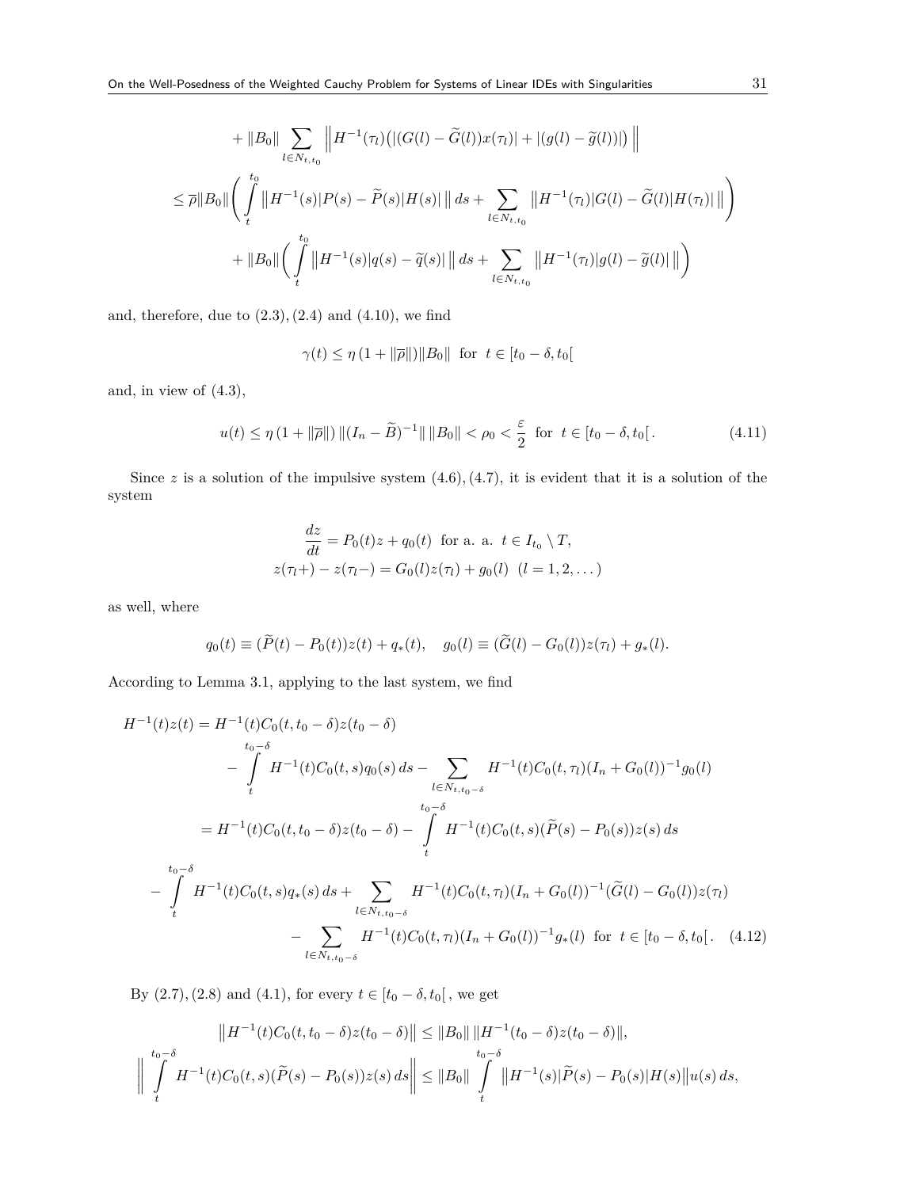$$
+ ||B_0|| \sum_{l \in N_{t,t_0}} \left||H^{-1}(\tau_l)(|(G(l) - \widetilde{G}(l))x(\tau_l)| + |(g(l) - \widetilde{g}(l))|) \right||
$$
  
\n
$$
\leq \overline{\rho}||B_0|| \left(\int_t^{t_0} ||H^{-1}(s)|P(s) - \widetilde{P}(s)|H(s)| ||ds + \sum_{l \in N_{t,t_0}} ||H^{-1}(\tau_l)|G(l) - \widetilde{G}(l)|H(\tau_l)|| \right)
$$
  
\n
$$
+ ||B_0|| \left(\int_t^{t_0} ||H^{-1}(s)|q(s) - \widetilde{q}(s)| ||ds + \sum_{l \in N_{t,t_0}} ||H^{-1}(\tau_l)|g(l) - \widetilde{g}(l)|| \right)
$$

and, therefore, due to  $(2.3)$ ,  $(2.4)$  and  $(4.10)$ , we find

$$
\gamma(t) \le \eta \left(1 + \|\overline{\rho}\| \right) \|B_0\| \text{ for } t \in [t_0 - \delta, t_0[
$$

and, in view of (4.3),

$$
u(t) \le \eta \left(1 + \|\overline{\rho}\| \right) \|(I_n - \widetilde{B})^{-1}\| \|B_0\| < \rho_0 < \frac{\varepsilon}{2} \text{ for } t \in [t_0 - \delta, t_0]. \tag{4.11}
$$

Since  $z$  is a solution of the impulsive system  $(4.6)$ ,  $(4.7)$ , it is evident that it is a solution of the system

$$
\frac{dz}{dt} = P_0(t)z + q_0(t) \text{ for a. a. } t \in I_{t_0} \setminus T,
$$
  

$$
z(\tau_l + ) - z(\tau_l - ) = G_0(l)z(\tau_l) + g_0(l) \quad (l = 1, 2, ...)
$$

as well, where

$$
q_0(t) \equiv (\widetilde{P}(t) - P_0(t))z(t) + q_*(t), \quad g_0(l) \equiv (\widetilde{G}(l) - G_0(l))z(\tau_l) + g_*(l).
$$

According to Lemma 3.1, applying to the last system, we find

$$
H^{-1}(t)z(t) = H^{-1}(t)C_0(t, t_0 - \delta)z(t_0 - \delta)
$$
  
\n
$$
- \int_{t_0 - \delta}^{t_0 - \delta} H^{-1}(t)C_0(t, s)q_0(s) ds - \sum_{l \in N_{t, t_0 - \delta}} H^{-1}(t)C_0(t, \tau_l)(I_n + G_0(l))^{-1}g_0(l)
$$
  
\n
$$
= H^{-1}(t)C_0(t, t_0 - \delta)z(t_0 - \delta) - \int_{t_0 - \delta}^{t_0 - \delta} H^{-1}(t)C_0(t, s)(\tilde{P}(s) - P_0(s))z(s) ds
$$
  
\n
$$
- \int_{t_0 - \delta}^{t_0 - \delta} H^{-1}(t)C_0(t, s)q_*(s) ds + \sum_{l \in N_{t, t_0 - \delta}} H^{-1}(t)C_0(t, \tau_l)(I_n + G_0(l))^{-1}(\tilde{G}(l) - G_0(l))z(\tau_l)
$$
  
\n
$$
- \sum_{l \in N_{t, t_0 - \delta}} H^{-1}(t)C_0(t, \tau_l)(I_n + G_0(l))^{-1}g_*(l) \text{ for } t \in [t_0 - \delta, t_0[.
$$
 (4.12)

By (2.7), (2.8) and (4.1), for every  $t \in [t_0 - \delta, t_0[$  , we get

$$
||H^{-1}(t)C_0(t, t_0 - \delta)z(t_0 - \delta)|| \le ||B_0|| \, ||H^{-1}(t_0 - \delta)z(t_0 - \delta)||,
$$
  

$$
\left|| \int_t^{t_0 - \delta} H^{-1}(t)C_0(t, s)(\widetilde{P}(s) - P_0(s))z(s) \, ds \right|| \le ||B_0|| \int_t^{t_0 - \delta} ||H^{-1}(s)|\widetilde{P}(s) - P_0(s)|H(s)||u(s) \, ds,
$$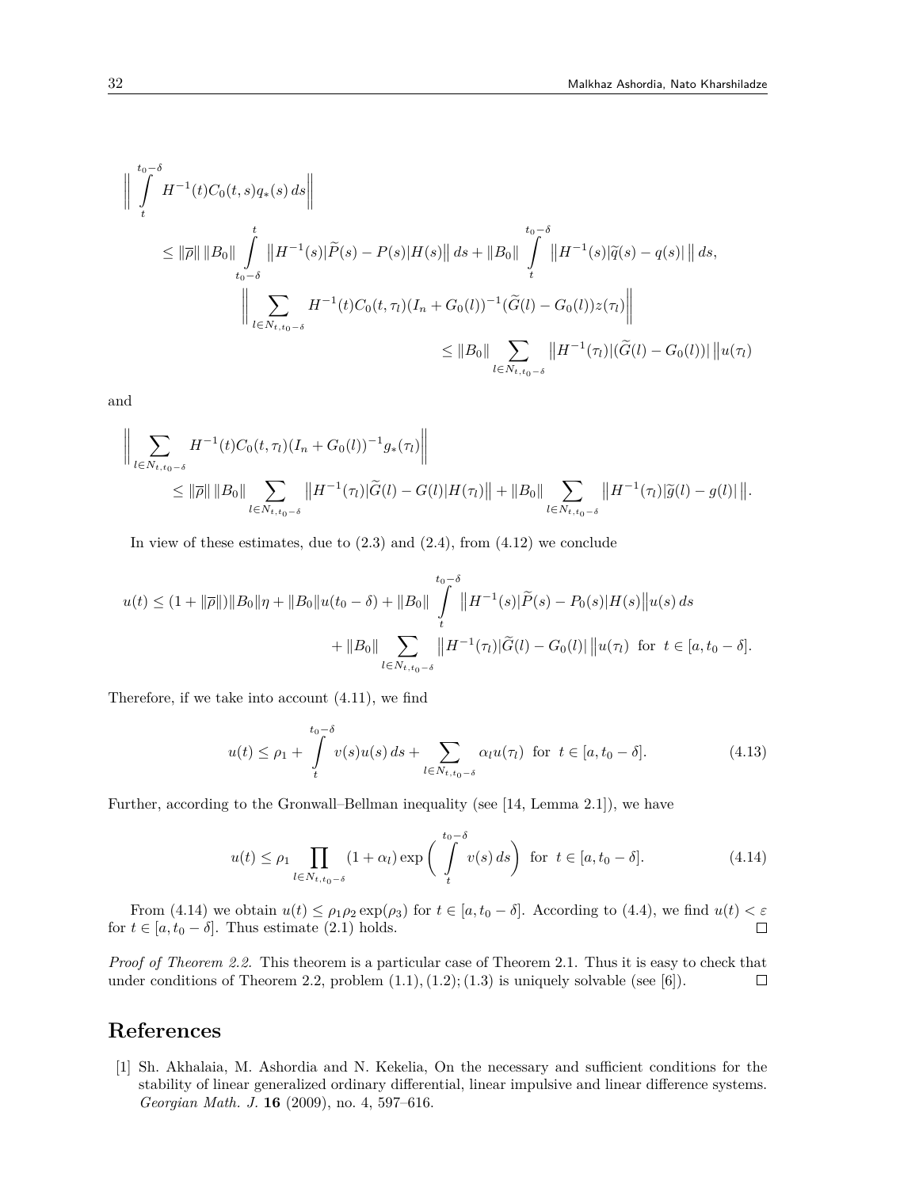$$
\| \int_{t}^{t_{0}-\delta} H^{-1}(t)C_{0}(t,s)q_{*}(s) ds \|
$$
\n
$$
\leq \|\overline{\rho}\| \|B_{0}\| \int_{t_{0}-\delta}^{t} \|H^{-1}(s)\|\widetilde{P}(s) - P(s)|H(s)\| ds + \|B_{0}\| \int_{t}^{t_{0}-\delta} \|H^{-1}(s)\|\widetilde{q}(s) - q(s)\| \| ds,
$$
\n
$$
\| \sum_{l \in N_{t,t_{0}-\delta}} H^{-1}(t)C_{0}(t,\tau_{l})(I_{n} + G_{0}(l))^{-1}(\widetilde{G}(l) - G_{0}(l))z(\tau_{l}) \|
$$
\n
$$
\leq \|B_{0}\| \sum_{l \in N_{t,t_{0}-\delta}} \|H^{-1}(\tau_{l})|(\widetilde{G}(l) - G_{0}(l))| \|u(\tau_{l})
$$

and

$$
\left\| \sum_{l \in N_{t,t_0-\delta}} H^{-1}(t) C_0(t,\tau_l) (I_n + G_0(l))^{-1} g_*(\tau_l) \right\|
$$
  
\n
$$
\leq \|\overline{\rho}\| \|B_0\| \sum_{l \in N_{t,t_0-\delta}} \|H^{-1}(\tau_l)| \widetilde{G}(l) - G(l) |H(\tau_l)\| + \|B_0\| \sum_{l \in N_{t,t_0-\delta}} \|H^{-1}(\tau_l)| \widetilde{g}(l) - g(l) | \right\|.
$$

In view of these estimates, due to  $(2.3)$  and  $(2.4)$ , from  $(4.12)$  we conclude

$$
u(t) \le (1 + ||\overline{\rho}||) ||B_0||\eta + ||B_0||u(t_0 - \delta) + ||B_0|| \int_t^{t_0 - \delta} ||H^{-1}(s)|\widetilde{P}(s) - P_0(s)|H(s)||u(s) ds
$$
  
+ 
$$
||B_0|| \sum_{l \in N_{t, t_0 - \delta}} ||H^{-1}(\tau_l)|\widetilde{G}(l) - G_0(l)||u(\tau_l) \text{ for } t \in [a, t_0 - \delta].
$$

Therefore, if we take into account (4.11), we find

$$
u(t) \le \rho_1 + \int_{t}^{t_0 - \delta} v(s)u(s) \, ds + \sum_{l \in N_{t, t_0 - \delta}} \alpha_l u(\tau_l) \quad \text{for} \quad t \in [a, t_0 - \delta]. \tag{4.13}
$$

Further, according to the Gronwall–Bellman inequality (see [14, Lemma 2.1]), we have

$$
u(t) \leq \rho_1 \prod_{l \in N_{t,t_0-\delta}} (1+\alpha_l) \exp\left(\int_t^{t_0-\delta} v(s) \, ds\right) \text{ for } t \in [a, t_0-\delta]. \tag{4.14}
$$

From (4.14) we obtain  $u(t) \leq \rho_1 \rho_2 \exp(\rho_3)$  for  $t \in [a, t_0 - \delta]$ . According to (4.4), we find  $u(t) < \varepsilon$ for  $t \in [a, t_0 - \delta]$ . Thus estimate (2.1) holds.  $\Box$ 

*Proof of Theorem 2.2.* This theorem is a particular case of Theorem 2.1. Thus it is easy to check that under conditions of Theorem 2.2, problem  $(1.1), (1.2), (1.3)$  is uniquely solvable (see [6]).  $\Box$ 

# **References**

[1] Sh. Akhalaia, M. Ashordia and N. Kekelia, On the necessary and sufficient conditions for the stability of linear generalized ordinary differential, linear impulsive and linear difference systems. *Georgian Math. J.* **16** (2009), no. 4, 597–616.